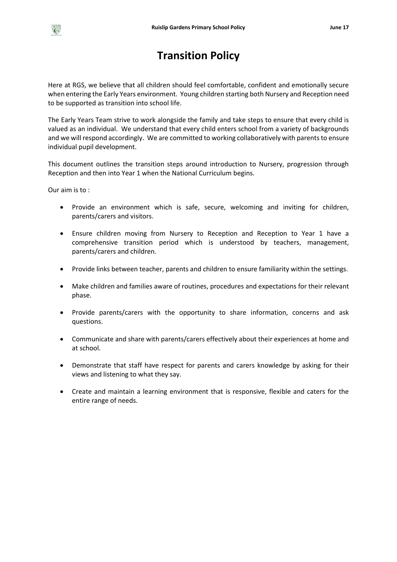# **Transition Policy**

Here at RGS, we believe that all children should feel comfortable, confident and emotionally secure when entering the Early Years environment. Young children starting both Nursery and Reception need to be supported as transition into school life.

The Early Years Team strive to work alongside the family and take steps to ensure that every child is valued as an individual. We understand that every child enters school from a variety of backgrounds and we will respond accordingly. We are committed to working collaboratively with parents to ensure individual pupil development.

This document outlines the transition steps around introduction to Nursery, progression through Reception and then into Year 1 when the National Curriculum begins.

Our aim is to :

- Provide an environment which is safe, secure, welcoming and inviting for children, parents/carers and visitors.
- Ensure children moving from Nursery to Reception and Reception to Year 1 have a comprehensive transition period which is understood by teachers, management, parents/carers and children.
- Provide links between teacher, parents and children to ensure familiarity within the settings.
- Make children and families aware of routines, procedures and expectations for their relevant phase.
- Provide parents/carers with the opportunity to share information, concerns and ask questions.
- Communicate and share with parents/carers effectively about their experiences at home and at school.
- Demonstrate that staff have respect for parents and carers knowledge by asking for their views and listening to what they say.
- Create and maintain a learning environment that is responsive, flexible and caters for the entire range of needs.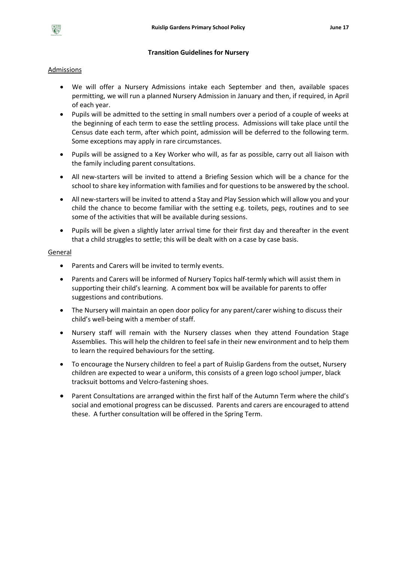

#### **Transition Guidelines for Nursery**

### Admissions

- We will offer a Nursery Admissions intake each September and then, available spaces permitting, we will run a planned Nursery Admission in January and then, if required, in April of each year.
- Pupils will be admitted to the setting in small numbers over a period of a couple of weeks at the beginning of each term to ease the settling process. Admissions will take place until the Census date each term, after which point, admission will be deferred to the following term. Some exceptions may apply in rare circumstances.
- Pupils will be assigned to a Key Worker who will, as far as possible, carry out all liaison with the family including parent consultations.
- All new-starters will be invited to attend a Briefing Session which will be a chance for the school to share key information with families and for questions to be answered by the school.
- All new-starters will be invited to attend a Stay and Play Session which will allow you and your child the chance to become familiar with the setting e.g. toilets, pegs, routines and to see some of the activities that will be available during sessions.
- Pupils will be given a slightly later arrival time for their first day and thereafter in the event that a child struggles to settle; this will be dealt with on a case by case basis.

#### General

- Parents and Carers will be invited to termly events.
- Parents and Carers will be informed of Nursery Topics half-termly which will assist them in supporting their child's learning. A comment box will be available for parents to offer suggestions and contributions.
- The Nursery will maintain an open door policy for any parent/carer wishing to discuss their child's well-being with a member of staff.
- Nursery staff will remain with the Nursery classes when they attend Foundation Stage Assemblies. This will help the children to feel safe in their new environment and to help them to learn the required behaviours for the setting.
- To encourage the Nursery children to feel a part of Ruislip Gardens from the outset, Nursery children are expected to wear a uniform, this consists of a green logo school jumper, black tracksuit bottoms and Velcro-fastening shoes.
- Parent Consultations are arranged within the first half of the Autumn Term where the child's social and emotional progress can be discussed. Parents and carers are encouraged to attend these. A further consultation will be offered in the Spring Term.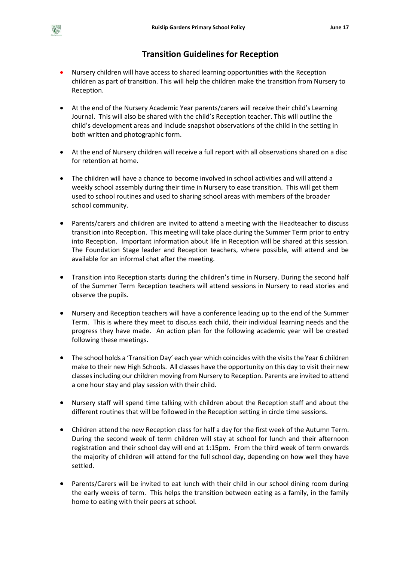# **Transition Guidelines for Reception**

- Nursery children will have access to shared learning opportunities with the Reception children as part of transition. This will help the children make the transition from Nursery to Reception.
- At the end of the Nursery Academic Year parents/carers will receive their child's Learning Journal. This will also be shared with the child's Reception teacher. This will outline the child's development areas and include snapshot observations of the child in the setting in both written and photographic form.
- At the end of Nursery children will receive a full report with all observations shared on a disc for retention at home.
- The children will have a chance to become involved in school activities and will attend a weekly school assembly during their time in Nursery to ease transition. This will get them used to school routines and used to sharing school areas with members of the broader school community.
- Parents/carers and children are invited to attend a meeting with the Headteacher to discuss transition into Reception. This meeting will take place during the Summer Term prior to entry into Reception. Important information about life in Reception will be shared at this session. The Foundation Stage leader and Reception teachers, where possible, will attend and be available for an informal chat after the meeting.
- Transition into Reception starts during the children's time in Nursery. During the second half of the Summer Term Reception teachers will attend sessions in Nursery to read stories and observe the pupils.
- Nursery and Reception teachers will have a conference leading up to the end of the Summer Term. This is where they meet to discuss each child, their individual learning needs and the progress they have made. An action plan for the following academic year will be created following these meetings.
- The school holds a 'Transition Day' each year which coincides with the visits the Year 6 children make to their new High Schools. All classes have the opportunity on this day to visit their new classes including our children moving from Nursery to Reception. Parents are invited to attend a one hour stay and play session with their child.
- Nursery staff will spend time talking with children about the Reception staff and about the different routines that will be followed in the Reception setting in circle time sessions.
- Children attend the new Reception class for half a day for the first week of the Autumn Term. During the second week of term children will stay at school for lunch and their afternoon registration and their school day will end at 1:15pm. From the third week of term onwards the majority of children will attend for the full school day, depending on how well they have settled.
- Parents/Carers will be invited to eat lunch with their child in our school dining room during the early weeks of term. This helps the transition between eating as a family, in the family home to eating with their peers at school.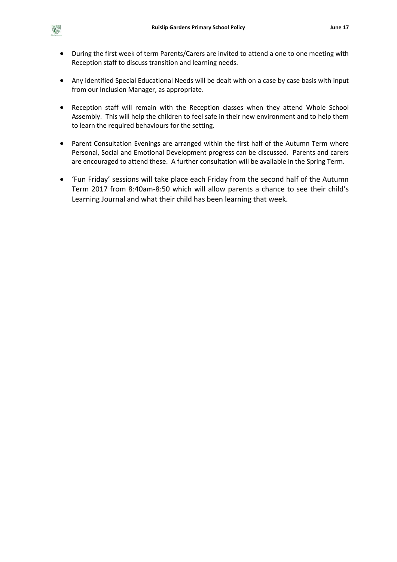- During the first week of term Parents/Carers are invited to attend a one to one meeting with Reception staff to discuss transition and learning needs.
- Any identified Special Educational Needs will be dealt with on a case by case basis with input from our Inclusion Manager, as appropriate.
- Reception staff will remain with the Reception classes when they attend Whole School Assembly. This will help the children to feel safe in their new environment and to help them to learn the required behaviours for the setting.
- Parent Consultation Evenings are arranged within the first half of the Autumn Term where Personal, Social and Emotional Development progress can be discussed. Parents and carers are encouraged to attend these. A further consultation will be available in the Spring Term.
- 'Fun Friday' sessions will take place each Friday from the second half of the Autumn Term 2017 from 8:40am-8:50 which will allow parents a chance to see their child's Learning Journal and what their child has been learning that week.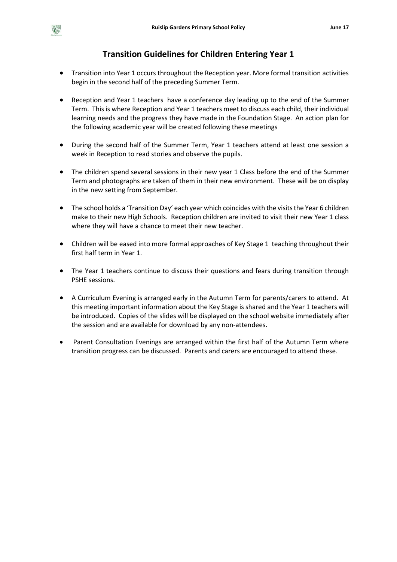# **Transition Guidelines for Children Entering Year 1**

- Transition into Year 1 occurs throughout the Reception year. More formal transition activities begin in the second half of the preceding Summer Term.
- Reception and Year 1 teachers have a conference day leading up to the end of the Summer Term. This is where Reception and Year 1 teachers meet to discuss each child, their individual learning needs and the progress they have made in the Foundation Stage. An action plan for the following academic year will be created following these meetings
- During the second half of the Summer Term, Year 1 teachers attend at least one session a week in Reception to read stories and observe the pupils.
- The children spend several sessions in their new year 1 Class before the end of the Summer Term and photographs are taken of them in their new environment. These will be on display in the new setting from September.
- The school holds a 'Transition Day' each year which coincides with the visits the Year 6 children make to their new High Schools. Reception children are invited to visit their new Year 1 class where they will have a chance to meet their new teacher.
- Children will be eased into more formal approaches of Key Stage 1 teaching throughout their first half term in Year 1.
- The Year 1 teachers continue to discuss their questions and fears during transition through PSHE sessions.
- A Curriculum Evening is arranged early in the Autumn Term for parents/carers to attend. At this meeting important information about the Key Stage is shared and the Year 1 teachers will be introduced. Copies of the slides will be displayed on the school website immediately after the session and are available for download by any non-attendees.
- Parent Consultation Evenings are arranged within the first half of the Autumn Term where transition progress can be discussed. Parents and carers are encouraged to attend these.